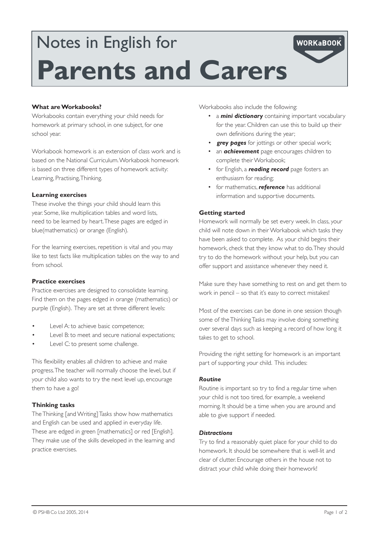# Notes in English for **Parents and Carers**

# **What are Workabooks?**

Workabooks contain everything your child needs for homework at primary school, in one subject, for one school year.

Workabook homework is an extension of class work and is based on the National Curriculum. Workabook homework is based on three different types of homework activity: Learning, Practising, Thinking.

### **Learning exercises**

These involve the things your child should learn this year. Some, like multiplication tables and word lists, need to be learned by heart. These pages are edged in blue(mathematics) or orange (English).

For the learning exercises, repetition is vital and you may like to test facts like multiplication tables on the way to and from school.

#### **Practice exercises**

Practice exercises are designed to consolidate learning. Find them on the pages edged in orange (mathematics) or purple (English). They are set at three different levels:

- Level A: to achieve basic competence;
- Level B: to meet and secure national expectations;
- Level C: to present some challenge.

This flexibility enables all children to achieve and make progress. The teacher will normally choose the level, but if your child also wants to try the next level up, encourage them to have a go!

### **Thinking tasks**

The Thinking [and Writing] Tasks show how mathematics and English can be used and applied in everyday life. These are edged in green [mathematics] or red [English]. They make use of the skills developed in the learning and practice exercises.

Workabooks also include the following:

• a **mini dictionary** containing important vocabulary for the year. Children can use this to build up their own definitions during the year;

**WORKaBOOK** 

- **grey pages** for jottings or other special work;
- • an *achievement* page encourages children to complete their Workabook;
- • for English, a *reading record* page fosters an enthusiasm for reading;
- • for mathematics, *reference* has additional information and supportive documents.

## **Getting started**

Homework will normally be set every week. In class, your child will note down in their Workabook which tasks they have been asked to complete. As your child begins their homework, check that they know what to do. They should try to do the homework without your help, but you can offer support and assistance whenever they need it.

Make sure they have something to rest on and get them to work in pencil – so that it's easy to correct mistakes!

Most of the exercises can be done in one session though some of the Thinking Tasks may involve doing something over several days such as keeping a record of how long it takes to get to school.

Providing the right setting for homework is an important part of supporting your child. This includes:

### *Routine*

Routine is important so try to find a regular time when your child is not too tired, for example, a weekend morning. It should be a time when you are around and able to give support if needed.

#### *Distractions*

Try to find a reasonably quiet place for your child to do homework. It should be somewhere that is well-lit and clear of clutter. Encourage others in the house not to distract your child while doing their homework!